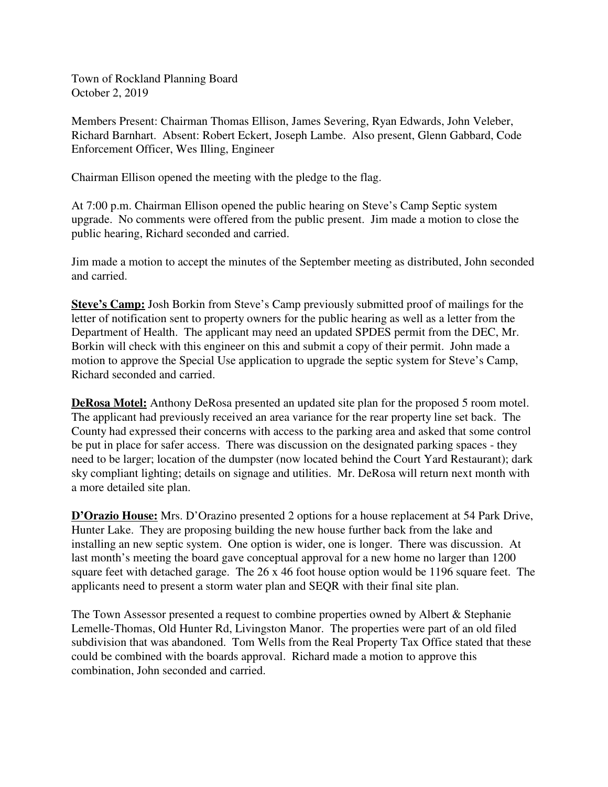Town of Rockland Planning Board October 2, 2019

Members Present: Chairman Thomas Ellison, James Severing, Ryan Edwards, John Veleber, Richard Barnhart. Absent: Robert Eckert, Joseph Lambe. Also present, Glenn Gabbard, Code Enforcement Officer, Wes Illing, Engineer

Chairman Ellison opened the meeting with the pledge to the flag.

At 7:00 p.m. Chairman Ellison opened the public hearing on Steve's Camp Septic system upgrade. No comments were offered from the public present. Jim made a motion to close the public hearing, Richard seconded and carried.

Jim made a motion to accept the minutes of the September meeting as distributed, John seconded and carried.

**Steve's Camp:** Josh Borkin from Steve's Camp previously submitted proof of mailings for the letter of notification sent to property owners for the public hearing as well as a letter from the Department of Health. The applicant may need an updated SPDES permit from the DEC, Mr. Borkin will check with this engineer on this and submit a copy of their permit. John made a motion to approve the Special Use application to upgrade the septic system for Steve's Camp, Richard seconded and carried.

**DeRosa Motel:** Anthony DeRosa presented an updated site plan for the proposed 5 room motel. The applicant had previously received an area variance for the rear property line set back. The County had expressed their concerns with access to the parking area and asked that some control be put in place for safer access. There was discussion on the designated parking spaces - they need to be larger; location of the dumpster (now located behind the Court Yard Restaurant); dark sky compliant lighting; details on signage and utilities. Mr. DeRosa will return next month with a more detailed site plan.

**D'Orazio House:** Mrs. D'Orazino presented 2 options for a house replacement at 54 Park Drive, Hunter Lake. They are proposing building the new house further back from the lake and installing an new septic system. One option is wider, one is longer. There was discussion. At last month's meeting the board gave conceptual approval for a new home no larger than 1200 square feet with detached garage. The 26 x 46 foot house option would be 1196 square feet. The applicants need to present a storm water plan and SEQR with their final site plan.

The Town Assessor presented a request to combine properties owned by Albert & Stephanie Lemelle-Thomas, Old Hunter Rd, Livingston Manor. The properties were part of an old filed subdivision that was abandoned. Tom Wells from the Real Property Tax Office stated that these could be combined with the boards approval. Richard made a motion to approve this combination, John seconded and carried.